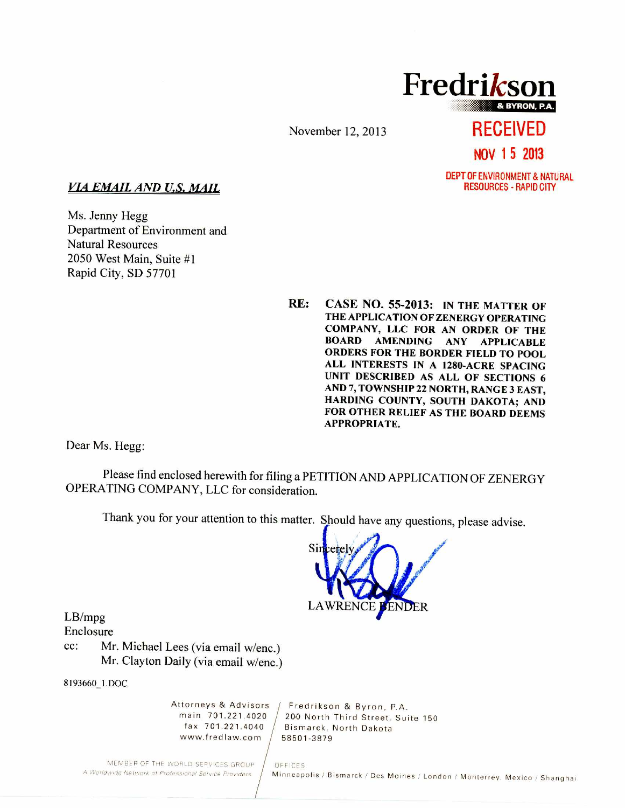**Fredrikson & BYRON, P.A.** 

November 12, 2013 **RECEIVED** 

**NOV 1 5 2013** 

DEPT OF ENVIRONMENT & NATURAL<br>RESOURCES - RAPID CITY

### *VIA EMAIL AND U.S. MAIL*

Ms. Jenny Hegg Department of Environment and Natural Resources 2050 West Main, Suite #1 Rapid City, SD 57701

> **RE: CASE NO. 55-2013: IN THE MATTER OF THE APPLICATION OF ZENERGY OPERATING COMPANY, LLC FOR AN ORDER OF THE BOARD AMENDING ANY APPLICABLE ORDERS FOR THE BORDER FIELD TO POOL ALL INTERESTS IN A 1280-ACRE SPACING UNIT DESCRIBED AS ALL OF SECTIONS 6 AND 7, TOWNSHIP 22 NORTH, RANGE 3 EAST, HARDING COUNTY, SOUTH DAKOTA; AND FOR OTHER RELIEF AS THE BOARD DEEMS APPROPRIATE.**

Dear Ms. Hegg:

Please find enclosed herewith for filing a PETITION AND APPLICATION OF ZENERGY OPERATING COMPANY, LLC for consideration.

OFFICES.

Thank you for your attention to this matter. Should have any questions, please advise.



LB/mpg Enclosure

cc: Mr. Michael Lees (via email w/enc.) Mr. Clayton Daily (via email w/enc.)

8193660\_1.DOC

www.fredlaw.com  $/$  58501-3879

Attorneys & Advisors / Fredrikson & Byron, P.A.<br>main 701.221.4020 / 200 North Third Street Sui nain 701.221.4020  $/$  200 North Third Street, Suite 150<br>fax 701.221.4040  $/$  Bismarck, North Dakota Bismarck, North Dakota

MEMBER OF THE WORLD SERVICES GROUP A Worldwide Network of Professional Service Providers

Minneapolis / Bismarck / Des Moines / London / Monterrey, Mexico / Shanghai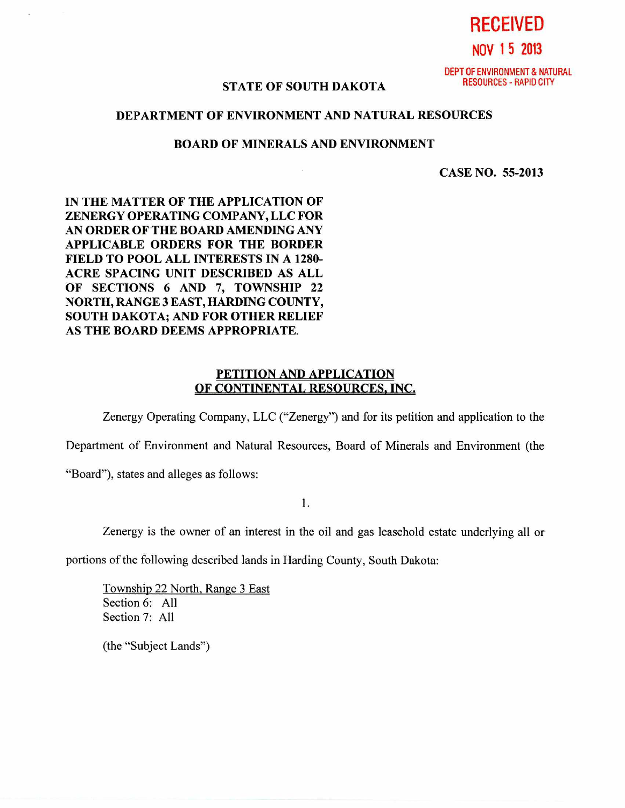**RECEIVED NOV 1 5 2013** 

DEPT OF ENVIRONMENT & NATURAL<br>RESOURCES - RAPID CITY

# **STATE OF SOUTH DAKOTA**

## **DEPARTMENT OF ENVIRONMENT AND NATURAL RESOURCES**

#### **BOARD OF MINERALS AND ENVIRONMENT**

**CASE NO. 55-2013** 

**IN THE MATTER OF THE APPLICATION OF ZENERGY OPERATING COMPANY, LLC FOR AN ORDER OF THE BOARD AMENDING ANY APPLICABLE ORDERS FOR THE BORDER FIELD TO POOL ALL INTERESTS IN A 1280- ACRE SPACING UNIT DESCRIBED AS ALL OF SECTIONS 6 AND 7, TOWNSHIP 22 NORTH, RANGE 3 EAST, HARDING COUNTY, SOUTH DAKOTA; AND FOR OTHER RELIEF AS THE BOARD DEEMS APPROPRIATE.** 

## **PETITION AND APPLICATION OF CONTINENTAL RESOURCES, INC.**

Zenergy Operating Company, LLC ("Zenergy") and for its petition and application to the

Department of Environment and Natural Resources, Board of Minerals and Environment (the

"Board"), states and alleges as follows:

**1.** 

Zenergy is the owner of an interest in the oil and gas leasehold estate underlying all or

portions of the following described lands in Harding County, South Dakota:

Township 22 North, Range 3 East Section 6: All Section 7: All

(the "Subject Lands")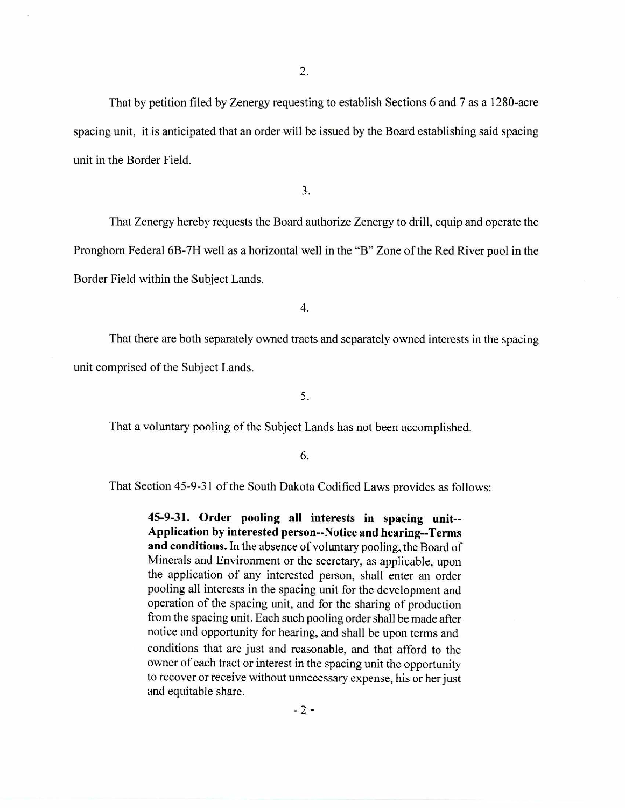That by petition filed by Zenergy requesting to establish Sections 6 and 7 as a 1280-acre spacing unit, it is anticipated that an order will be issued by the Board establishing said spacing unit in the Border Field.

3.

That Zenergy hereby requests the Board authorize Zenergy to drill, equip and operate the Pronghorn Federal 6B-7H well as a horizontal well in the "B" Zone of the Red River pool in the Border Field within the Subject Lands.

4.

That there are both separately owned tracts and separately owned interests in the spacing unit comprised of the Subject Lands.

5.

That a voluntary pooling of the Subject Lands has not been accomplished.

6.

That Section 45-9-31 of the South Dakota Codified Laws provides as follows:

**45-9-31. Order pooling all interests in spacing unit-- Application by interested person--Notice and hearing--Terms and conditions.** In the absence of voluntary pooling, the Board of Minerals and Environment or the secretary, as applicable, upon the application of any interested person, shall enter an order pooling all interests in the spacing unit for the development and operation of the spacing unit, and for the sharing of production from the spacing unit. Each such pooling order shall be made after notice and opportunity for hearing, and shall be upon terms and conditions that are just and reasonable, and that afford to the owner of each tract or interest in the spacing unit the opportunity to recover or receive without unnecessary expense, his or her just and equitable share.

 $-2 -$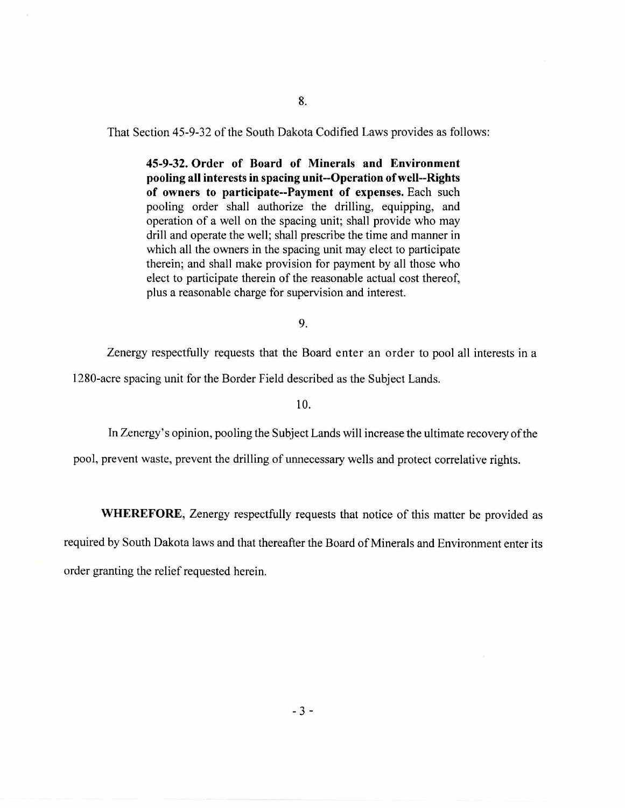8.

That Section 45-9-32 of the South Dakota Codified Laws provides as follows:

**45-9-32. Order of Board of Minerals and Environment pooling all interests in spacing unit--Operation of well--Rights of owners to participate--Payment of expenses.** Each such pooling order shall authorize the drilling, equipping, and operation of a well on the spacing unit; shall provide who may drill and operate the well; shall prescribe the time and manner in which all the owners in the spacing unit may elect to participate therein; and shall make provision for payment by all those who elect to participate therein of the reasonable actual cost thereof, plus a reasonable charge for supervision and interest.

9.

Zenergy respectfully requests that the Board enter an order to pool all interests in a

1280-acre spacing unit for the Border Field described as the Subject Lands.

10.

In Zenergy's opinion, pooling the Subject Lands will increase the ultimate recovery of the

pool, prevent waste, prevent the drilling of unnecessary wells and protect correlative rights.

**WHEREFORE,** Zenergy respectfully requests that notice of this matter be provided as

required by South Dakota laws and that thereafter the Board of Minerals and Environment enter its order granting the relief requested herein.